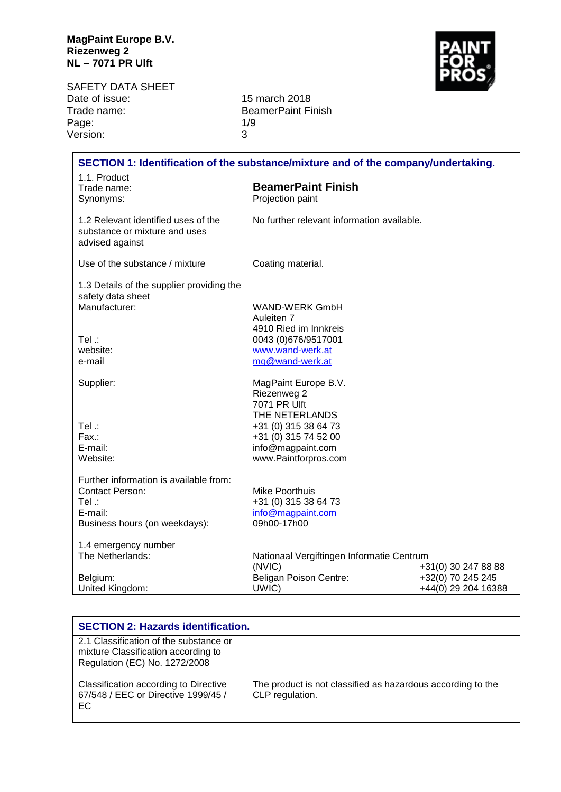

SAFETY DATA SHEET<br>Date of issue: Date of issue: 15 march 2018<br>Trade name: 15 march 2018 Page: 1/9<br>
Version: 3 Version:

BeamerPaint Finish<br>1/9

| SECTION 1: Identification of the substance/mixture and of the company/undertaking.                                     |                                                                                                                                                                    |                                                                 |
|------------------------------------------------------------------------------------------------------------------------|--------------------------------------------------------------------------------------------------------------------------------------------------------------------|-----------------------------------------------------------------|
| 1.1. Product<br>Trade name:<br>Synonyms:                                                                               | <b>BeamerPaint Finish</b><br>Projection paint                                                                                                                      |                                                                 |
| 1.2 Relevant identified uses of the<br>substance or mixture and uses<br>advised against                                | No further relevant information available.                                                                                                                         |                                                                 |
| Use of the substance / mixture                                                                                         | Coating material.                                                                                                                                                  |                                                                 |
| 1.3 Details of the supplier providing the<br>safety data sheet<br>Manufacturer:<br>$Tel$ :<br>website:                 | <b>WAND-WERK GmbH</b><br>Auleiten 7<br>4910 Ried im Innkreis<br>0043 (0)676/9517001<br>www.wand-werk.at                                                            |                                                                 |
| e-mail                                                                                                                 | mg@wand-werk.at                                                                                                                                                    |                                                                 |
| Supplier:<br>Tel .:<br>Fax.:<br>E-mail:<br>Website:                                                                    | MagPaint Europe B.V.<br>Riezenweg 2<br>7071 PR Ulft<br>THE NETERLANDS<br>+31 (0) 315 38 64 73<br>+31 (0) 315 74 52 00<br>info@magpaint.com<br>www.Paintforpros.com |                                                                 |
| Further information is available from:<br><b>Contact Person:</b><br>Tel .:<br>E-mail:<br>Business hours (on weekdays): | <b>Mike Poorthuis</b><br>+31 (0) 315 38 64 73<br>info@magpaint.com<br>09h00-17h00                                                                                  |                                                                 |
| 1.4 emergency number<br>The Netherlands:<br>Belgium:<br>United Kingdom:                                                | Nationaal Vergiftingen Informatie Centrum<br>(NVIC)<br>Beligan Poison Centre:<br>UWIC)                                                                             | +31(0) 30 247 88 88<br>+32(0) 70 245 245<br>+44(0) 29 204 16388 |

| <b>SECTION 2: Hazards identification.</b>                                                                      |                                                                                |
|----------------------------------------------------------------------------------------------------------------|--------------------------------------------------------------------------------|
| 2.1 Classification of the substance or<br>mixture Classification according to<br>Regulation (EC) No. 1272/2008 |                                                                                |
| Classification according to Directive<br>67/548 / EEC or Directive 1999/45 /<br>EC.                            | The product is not classified as hazardous according to the<br>CLP regulation. |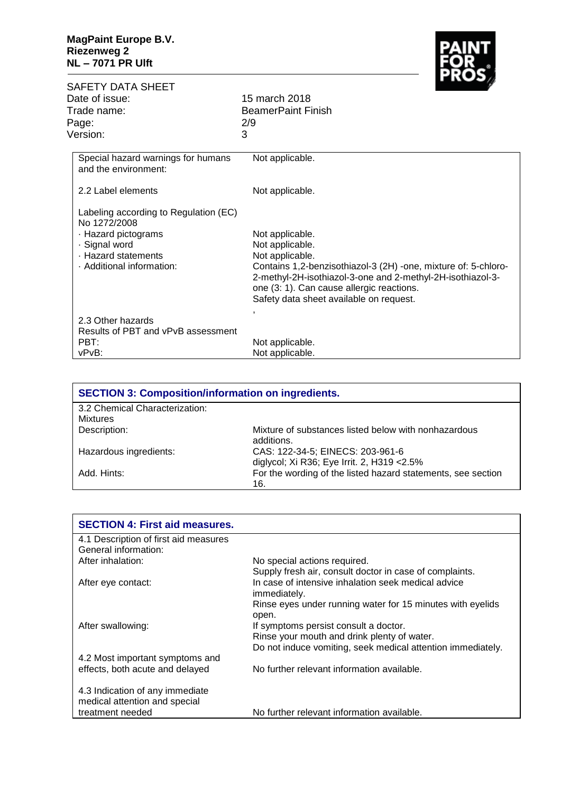

| SAFETY DATA SHEET<br>Date of issue:<br>Trade name:<br>Page:<br>Version:                                                                           | Г ЛОЈ<br>15 march 2018<br><b>BeamerPaint Finish</b><br>2/9<br>3                                                                                                                                                                                                               |
|---------------------------------------------------------------------------------------------------------------------------------------------------|-------------------------------------------------------------------------------------------------------------------------------------------------------------------------------------------------------------------------------------------------------------------------------|
| Special hazard warnings for humans<br>and the environment:                                                                                        | Not applicable.                                                                                                                                                                                                                                                               |
| 2.2 Label elements                                                                                                                                | Not applicable.                                                                                                                                                                                                                                                               |
| Labeling according to Regulation (EC)<br>No 1272/2008<br>· Hazard pictograms<br>· Signal word<br>· Hazard statements<br>· Additional information: | Not applicable.<br>Not applicable.<br>Not applicable.<br>Contains 1,2-benzisothiazol-3 (2H) -one, mixture of: 5-chloro-<br>2-methyl-2H-isothiazol-3-one and 2-methyl-2H-isothiazol-3-<br>one (3: 1). Can cause allergic reactions.<br>Safety data sheet available on request. |
| 2.3 Other hazards<br>Results of PBT and vPvB assessment<br>PBT:<br>vPvB:                                                                          | $\overline{ }$<br>Not applicable.<br>Not applicable.                                                                                                                                                                                                                          |

| <b>SECTION 3: Composition/information on ingredients.</b> |                                                                                 |  |
|-----------------------------------------------------------|---------------------------------------------------------------------------------|--|
| 3.2 Chemical Characterization:                            |                                                                                 |  |
| <b>Mixtures</b>                                           |                                                                                 |  |
| Description:                                              | Mixture of substances listed below with nonhazardous<br>additions.              |  |
| Hazardous ingredients:                                    | CAS: 122-34-5; EINECS: 203-961-6<br>diglycol; Xi R36; Eye Irrit. 2, H319 < 2.5% |  |
| Add. Hints:                                               | For the wording of the listed hazard statements, see section<br>16.             |  |

| <b>SECTION 4: First aid measures.</b> |                                                             |
|---------------------------------------|-------------------------------------------------------------|
| 4.1 Description of first aid measures |                                                             |
| General information:                  |                                                             |
| After inhalation:                     | No special actions required.                                |
|                                       | Supply fresh air, consult doctor in case of complaints.     |
| After eye contact:                    | In case of intensive inhalation seek medical advice         |
|                                       | immediately.                                                |
|                                       | Rinse eyes under running water for 15 minutes with eyelids  |
|                                       | open.                                                       |
| After swallowing:                     | If symptoms persist consult a doctor.                       |
|                                       | Rinse your mouth and drink plenty of water.                 |
|                                       | Do not induce vomiting, seek medical attention immediately. |
| 4.2 Most important symptoms and       |                                                             |
| effects, both acute and delayed       | No further relevant information available.                  |
|                                       |                                                             |
| 4.3 Indication of any immediate       |                                                             |
| medical attention and special         |                                                             |
| treatment needed                      | No further relevant information available.                  |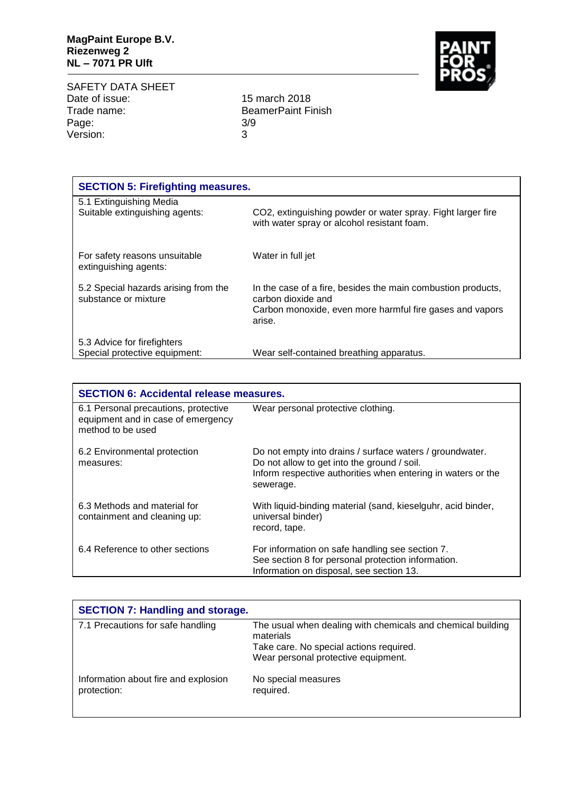SAFETY DATA SHEET Date of issue: 15 march 2018<br>Trade name: 15 march 2018 Page: 3/<br>Version: 3 Version:

BeamerPaint Finish<br>3/9

| <b>SECTION 5: Firefighting measures.</b>                     |                                                                                                                                                          |  |
|--------------------------------------------------------------|----------------------------------------------------------------------------------------------------------------------------------------------------------|--|
| 5.1 Extinguishing Media<br>Suitable extinguishing agents:    | CO2, extinguishing powder or water spray. Fight larger fire<br>with water spray or alcohol resistant foam.                                               |  |
| For safety reasons unsuitable<br>extinguishing agents:       | Water in full jet                                                                                                                                        |  |
| 5.2 Special hazards arising from the<br>substance or mixture | In the case of a fire, besides the main combustion products,<br>carbon dioxide and<br>Carbon monoxide, even more harmful fire gases and vapors<br>arise. |  |
| 5.3 Advice for firefighters<br>Special protective equipment: | Wear self-contained breathing apparatus.                                                                                                                 |  |

| <b>SECTION 6: Accidental release measures.</b>                                                  |                                                                                                                                                                                      |  |
|-------------------------------------------------------------------------------------------------|--------------------------------------------------------------------------------------------------------------------------------------------------------------------------------------|--|
| 6.1 Personal precautions, protective<br>equipment and in case of emergency<br>method to be used | Wear personal protective clothing.                                                                                                                                                   |  |
| 6.2 Environmental protection<br>measures:                                                       | Do not empty into drains / surface waters / groundwater.<br>Do not allow to get into the ground / soil.<br>Inform respective authorities when entering in waters or the<br>sewerage. |  |
| 6.3 Methods and material for<br>containment and cleaning up:                                    | With liquid-binding material (sand, kieselguhr, acid binder,<br>universal binder)<br>record, tape.                                                                                   |  |
| 6.4 Reference to other sections                                                                 | For information on safe handling see section 7.<br>See section 8 for personal protection information.<br>Information on disposal, see section 13.                                    |  |

| <b>SECTION 7: Handling and storage.</b>             |                                                                                |
|-----------------------------------------------------|--------------------------------------------------------------------------------|
| 7.1 Precautions for safe handling                   | The usual when dealing with chemicals and chemical building<br>materials       |
|                                                     | Take care. No special actions required.<br>Wear personal protective equipment. |
| Information about fire and explosion<br>protection: | No special measures<br>required.                                               |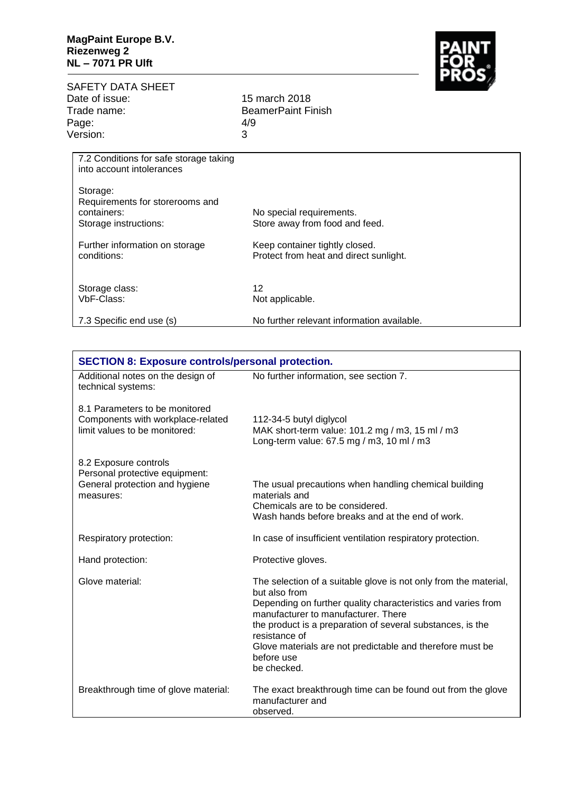

| SAFETY DATA SHEET |                         |
|-------------------|-------------------------|
| Date of issue:    | 15 march 2018           |
| Trade name:       | <b>BeamerPaint Fire</b> |
| Page:             | 4/9                     |
| Version:          | З                       |

BeamerPaint Finish<br>4/9

| 7.2 Conditions for safe storage taking |                                            |
|----------------------------------------|--------------------------------------------|
| into account intolerances              |                                            |
|                                        |                                            |
|                                        |                                            |
| Storage:                               |                                            |
| Requirements for storerooms and        |                                            |
| containers:                            | No special requirements.                   |
|                                        |                                            |
| Storage instructions:                  | Store away from food and feed.             |
|                                        |                                            |
| Further information on storage         | Keep container tightly closed.             |
|                                        |                                            |
| conditions:                            | Protect from heat and direct sunlight.     |
|                                        |                                            |
|                                        |                                            |
|                                        | 12                                         |
| Storage class:                         |                                            |
| VbF-Class:                             | Not applicable.                            |
|                                        |                                            |
| 7.3 Specific end use (s)               | No further relevant information available. |
|                                        |                                            |

| <b>SECTION 8: Exposure controls/personal protection.</b>                                               |                                                                                                                                                                                                                                                                                                                                                                   |  |
|--------------------------------------------------------------------------------------------------------|-------------------------------------------------------------------------------------------------------------------------------------------------------------------------------------------------------------------------------------------------------------------------------------------------------------------------------------------------------------------|--|
| Additional notes on the design of<br>technical systems:                                                | No further information, see section 7.                                                                                                                                                                                                                                                                                                                            |  |
| 8.1 Parameters to be monitored<br>Components with workplace-related<br>limit values to be monitored:   | 112-34-5 butyl diglycol<br>MAK short-term value: 101.2 mg / m3, 15 ml / m3<br>Long-term value: 67.5 mg / m3, 10 ml / m3                                                                                                                                                                                                                                           |  |
| 8.2 Exposure controls<br>Personal protective equipment:<br>General protection and hygiene<br>measures: | The usual precautions when handling chemical building<br>materials and<br>Chemicals are to be considered.<br>Wash hands before breaks and at the end of work.                                                                                                                                                                                                     |  |
| Respiratory protection:                                                                                | In case of insufficient ventilation respiratory protection.                                                                                                                                                                                                                                                                                                       |  |
| Hand protection:                                                                                       | Protective gloves.                                                                                                                                                                                                                                                                                                                                                |  |
| Glove material:                                                                                        | The selection of a suitable glove is not only from the material,<br>but also from<br>Depending on further quality characteristics and varies from<br>manufacturer to manufacturer. There<br>the product is a preparation of several substances, is the<br>resistance of<br>Glove materials are not predictable and therefore must be<br>before use<br>be checked. |  |
| Breakthrough time of glove material:                                                                   | The exact breakthrough time can be found out from the glove<br>manufacturer and<br>observed.                                                                                                                                                                                                                                                                      |  |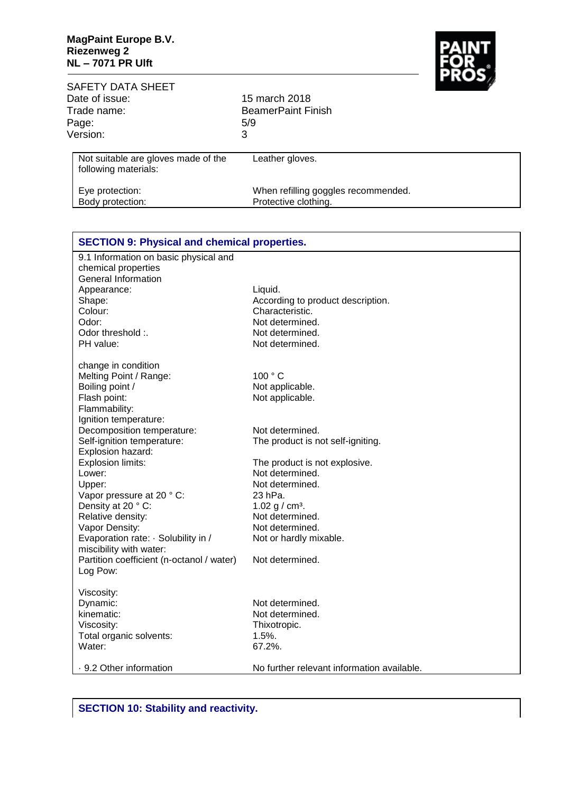

| <b>SAFETY DATA SHEET</b><br>Date of issue:<br>Trade name:<br>Page:<br>Version: | 15 march 2018<br><b>BeamerPaint Finish</b><br>5/9<br>3      | <b>INSTA</b> |
|--------------------------------------------------------------------------------|-------------------------------------------------------------|--------------|
| Not suitable are gloves made of the<br>following materials:                    | Leather gloves.                                             |              |
| Eye protection:<br>Body protection:                                            | When refilling goggles recommended.<br>Protective clothing. |              |

| <b>SECTION 9: Physical and chemical properties.</b> |                                            |
|-----------------------------------------------------|--------------------------------------------|
| 9.1 Information on basic physical and               |                                            |
| chemical properties                                 |                                            |
| <b>General Information</b>                          |                                            |
| Appearance:                                         | Liquid.                                    |
| Shape:                                              | According to product description.          |
| Colour:                                             | Characteristic.                            |
| Odor:                                               | Not determined.                            |
| Odor threshold :.                                   | Not determined.                            |
| PH value:                                           | Not determined.                            |
| change in condition                                 |                                            |
| Melting Point / Range:                              | 100 °C                                     |
| Boiling point /                                     | Not applicable.                            |
| Flash point:                                        | Not applicable.                            |
| Flammability:                                       |                                            |
| Ignition temperature:                               |                                            |
| Decomposition temperature:                          | Not determined.                            |
| Self-ignition temperature:                          | The product is not self-igniting.          |
| Explosion hazard:                                   |                                            |
| Explosion limits:                                   | The product is not explosive.              |
| Lower:                                              | Not determined.                            |
| Upper:                                              | Not determined.                            |
| Vapor pressure at 20 °C:                            | 23 hPa.                                    |
| Density at 20 °C:                                   | 1.02 g / $cm3$ .                           |
| Relative density:                                   | Not determined.                            |
| Vapor Density:                                      | Not determined.                            |
| Evaporation rate: · Solubility in /                 | Not or hardly mixable.                     |
| miscibility with water:                             |                                            |
| Partition coefficient (n-octanol / water)           | Not determined.                            |
| Log Pow:                                            |                                            |
| Viscosity:                                          |                                            |
| Dynamic:                                            | Not determined.                            |
| kinematic:                                          | Not determined.                            |
| Viscosity:                                          | Thixotropic.                               |
| Total organic solvents:                             | 1.5%.                                      |
| Water:                                              | 67.2%.                                     |
| ⋅ 9.2 Other information                             | No further relevant information available. |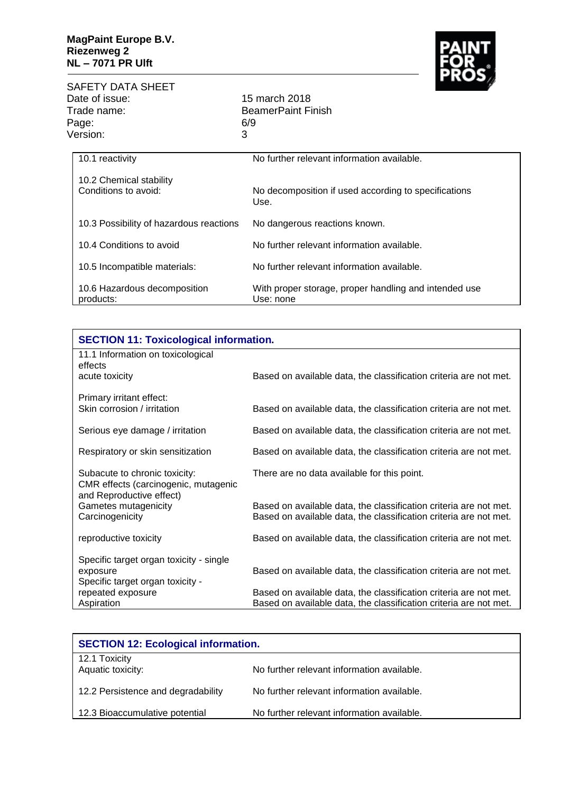

SAFETY DATA SHEET Date of issue: 15 march 2018<br>Trade name: 15 march 2018 Page: 6/<br>Version: 3 Version:

BeamerPaint Finish<br>6/9

| 10.1 reactivity                                 | No further relevant information available.                         |  |
|-------------------------------------------------|--------------------------------------------------------------------|--|
| 10.2 Chemical stability<br>Conditions to avoid: | No decomposition if used according to specifications<br>Use.       |  |
| 10.3 Possibility of hazardous reactions         | No dangerous reactions known.                                      |  |
| 10.4 Conditions to avoid                        | No further relevant information available.                         |  |
| 10.5 Incompatible materials:                    | No further relevant information available.                         |  |
| 10.6 Hazardous decomposition<br>products:       | With proper storage, proper handling and intended use<br>Use: none |  |

| <b>SECTION 11: Toxicological information.</b>                                                                                          |  |  |
|----------------------------------------------------------------------------------------------------------------------------------------|--|--|
|                                                                                                                                        |  |  |
| Based on available data, the classification criteria are not met.                                                                      |  |  |
|                                                                                                                                        |  |  |
| Based on available data, the classification criteria are not met.                                                                      |  |  |
| Based on available data, the classification criteria are not met.                                                                      |  |  |
| Based on available data, the classification criteria are not met.                                                                      |  |  |
| There are no data available for this point.                                                                                            |  |  |
| Based on available data, the classification criteria are not met.                                                                      |  |  |
| Based on available data, the classification criteria are not met.                                                                      |  |  |
| Based on available data, the classification criteria are not met.                                                                      |  |  |
|                                                                                                                                        |  |  |
| Based on available data, the classification criteria are not met.                                                                      |  |  |
|                                                                                                                                        |  |  |
| Based on available data, the classification criteria are not met.<br>Based on available data, the classification criteria are not met. |  |  |
|                                                                                                                                        |  |  |

| <b>SECTION 12: Ecological information.</b> |                                            |  |
|--------------------------------------------|--------------------------------------------|--|
| 12.1 Toxicity<br>Aquatic toxicity:         | No further relevant information available. |  |
| 12.2 Persistence and degradability         | No further relevant information available. |  |
| 12.3 Bioaccumulative potential             | No further relevant information available. |  |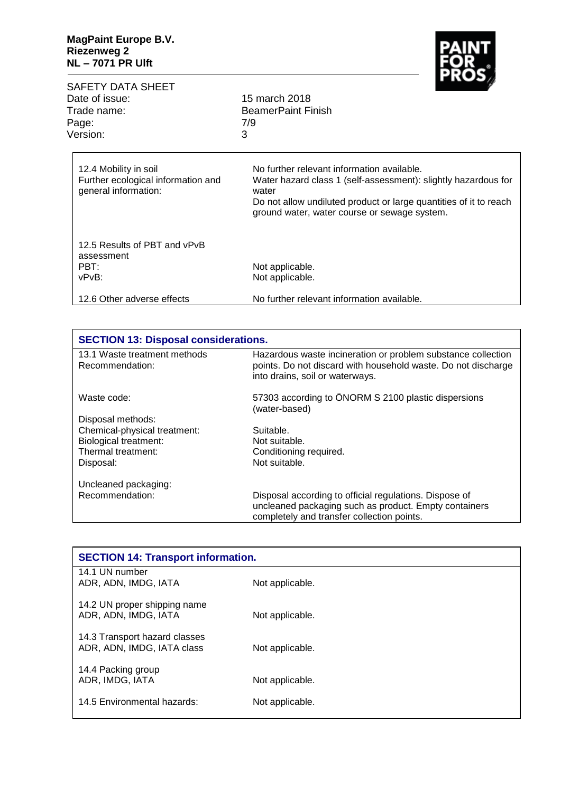

| SAFETY DATA SHEET                                          | <u>in the set of the set of the set of the set of the set of the set of the set of the set of the set of the set of the set of the set of the set of the set of the set of the set of the set of the set of the set of the set o</u> |  |  |
|------------------------------------------------------------|--------------------------------------------------------------------------------------------------------------------------------------------------------------------------------------------------------------------------------------|--|--|
| Date of issue:                                             | 15 march 2018                                                                                                                                                                                                                        |  |  |
| Trade name:                                                | <b>BeamerPaint Finish</b>                                                                                                                                                                                                            |  |  |
| Page:                                                      | 7/9                                                                                                                                                                                                                                  |  |  |
| Version:                                                   | 3                                                                                                                                                                                                                                    |  |  |
| 12.4 Mobility in soil                                      | No further relevant information available.                                                                                                                                                                                           |  |  |
| Further ecological information and<br>general information: | Water hazard class 1 (self-assessment): slightly hazardous for<br>water                                                                                                                                                              |  |  |
|                                                            | Do not allow undiluted product or large quantities of it to reach<br>ground water, water course or sewage system.                                                                                                                    |  |  |
| 12.5 Results of PBT and vPvB<br>assessment                 |                                                                                                                                                                                                                                      |  |  |
| PBT:                                                       | Not applicable.                                                                                                                                                                                                                      |  |  |
| vPvB:                                                      | Not applicable.                                                                                                                                                                                                                      |  |  |
| 12.6 Other adverse effects                                 | No further relevant information available.                                                                                                                                                                                           |  |  |

| <b>SECTION 13: Disposal considerations.</b>     |                                                                                                                                                                  |  |
|-------------------------------------------------|------------------------------------------------------------------------------------------------------------------------------------------------------------------|--|
| 13.1 Waste treatment methods<br>Recommendation: | Hazardous waste incineration or problem substance collection<br>points. Do not discard with household waste. Do not discharge<br>into drains, soil or waterways. |  |
| Waste code:                                     | 57303 according to ÖNORM S 2100 plastic dispersions<br>(water-based)                                                                                             |  |
| Disposal methods:                               |                                                                                                                                                                  |  |
| Chemical-physical treatment:                    | Suitable.                                                                                                                                                        |  |
| <b>Biological treatment:</b>                    | Not suitable.                                                                                                                                                    |  |
| Thermal treatment:                              | Conditioning required.                                                                                                                                           |  |
| Disposal:                                       | Not suitable.                                                                                                                                                    |  |
| Uncleaned packaging:                            |                                                                                                                                                                  |  |
| Recommendation:                                 | Disposal according to official regulations. Dispose of                                                                                                           |  |
|                                                 | uncleaned packaging such as product. Empty containers                                                                                                            |  |
|                                                 | completely and transfer collection points.                                                                                                                       |  |

| <b>SECTION 14: Transport information.</b>            |                 |  |
|------------------------------------------------------|-----------------|--|
| 14.1 UN number<br>ADR, ADN, IMDG, IATA               | Not applicable. |  |
|                                                      |                 |  |
| 14.2 UN proper shipping name<br>ADR, ADN, IMDG, IATA | Not applicable. |  |
| 14.3 Transport hazard classes                        |                 |  |
| ADR, ADN, IMDG, IATA class                           | Not applicable. |  |
| 14.4 Packing group                                   |                 |  |
| ADR, IMDG, IATA                                      | Not applicable. |  |
| 14.5 Environmental hazards:                          | Not applicable. |  |
|                                                      |                 |  |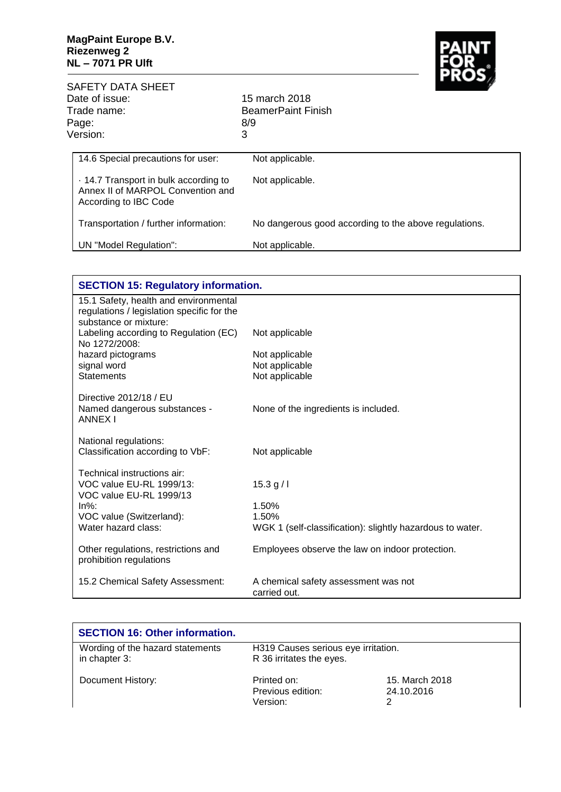

|                                        | SAFETY DATA SHEET                                                                                   |                                                       |          |   |
|----------------------------------------|-----------------------------------------------------------------------------------------------------|-------------------------------------------------------|----------|---|
| Date of issue:<br>Trade name:<br>Page: |                                                                                                     | 15 march 2018<br><b>BeamerPaint Finish</b>            |          |   |
|                                        |                                                                                                     |                                                       |          |   |
|                                        |                                                                                                     |                                                       | Version: | 3 |
|                                        | 14.6 Special precautions for user:                                                                  | Not applicable.                                       |          |   |
|                                        | . 14.7 Transport in bulk according to<br>Annex II of MARPOL Convention and<br>According to IBC Code | Not applicable.                                       |          |   |
|                                        | Transportation / further information:                                                               | No dangerous good according to the above regulations. |          |   |
|                                        | UN "Model Regulation":                                                                              | Not applicable.                                       |          |   |
|                                        |                                                                                                     |                                                       |          |   |

| <b>SECTION 15: Regulatory information.</b>                                                                   |                                                           |  |
|--------------------------------------------------------------------------------------------------------------|-----------------------------------------------------------|--|
| 15.1 Safety, health and environmental<br>regulations / legislation specific for the<br>substance or mixture: |                                                           |  |
| Labeling according to Regulation (EC)<br>No 1272/2008:                                                       | Not applicable                                            |  |
| hazard pictograms                                                                                            | Not applicable                                            |  |
| signal word                                                                                                  | Not applicable                                            |  |
| <b>Statements</b>                                                                                            | Not applicable                                            |  |
| Directive 2012/18 / EU<br>Named dangerous substances -<br><b>ANNEX I</b>                                     | None of the ingredients is included.                      |  |
| National regulations:<br>Classification according to VbF:                                                    | Not applicable                                            |  |
| Technical instructions air:<br>VOC value EU-RL 1999/13:<br>VOC value EU-RL 1999/13                           | 15.3 g/l                                                  |  |
| $ln\%$ :                                                                                                     | 1.50%                                                     |  |
| VOC value (Switzerland):                                                                                     | 1.50%                                                     |  |
| Water hazard class:                                                                                          | WGK 1 (self-classification): slightly hazardous to water. |  |
| Other regulations, restrictions and<br>prohibition regulations                                               | Employees observe the law on indoor protection.           |  |
| 15.2 Chemical Safety Assessment:                                                                             | A chemical safety assessment was not<br>carried out.      |  |

| <b>SECTION 16: Other information.</b>             |                                                                 |                              |
|---------------------------------------------------|-----------------------------------------------------------------|------------------------------|
| Wording of the hazard statements<br>in chapter 3: | H319 Causes serious eye irritation.<br>R 36 irritates the eyes. |                              |
| Document History:                                 | Printed on:<br>Previous edition:<br>Version:                    | 15. March 2018<br>24.10.2016 |